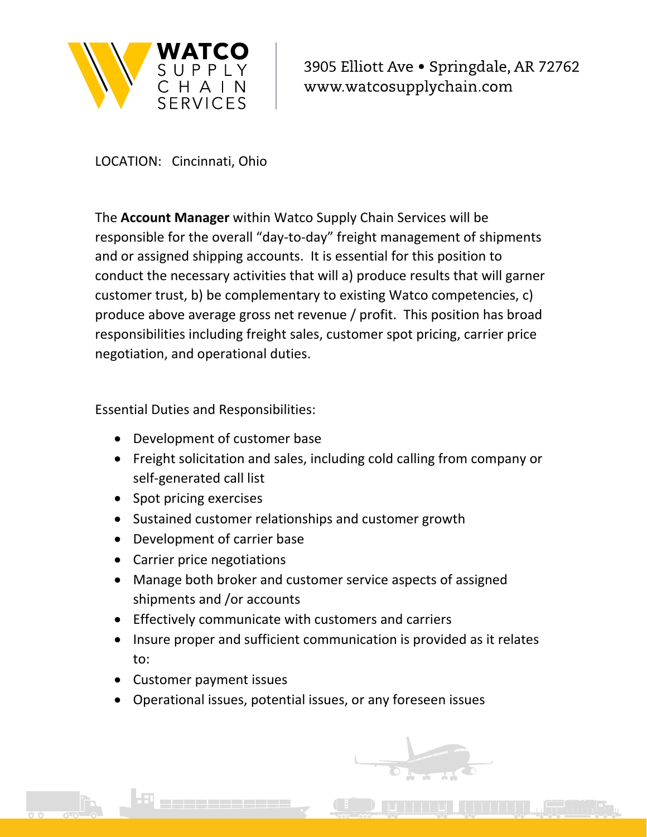

3905 Elliott Ave · Springdale, AR 72762 www.watcosupplychain.com

LOCATION: Cincinnati, Ohio

The **Account Manager** within Watco Supply Chain Services will be responsible for the overall "day‐to‐day" freight management of shipments and or assigned shipping accounts. It is essential for this position to conduct the necessary activities that will a) produce results that will garner customer trust, b) be complementary to existing Watco competencies, c) produce above average gross net revenue / profit. This position has broad responsibilities including freight sales, customer spot pricing, carrier price negotiation, and operational duties.

Essential Duties and Responsibilities:

- Development of customer base
- Freight solicitation and sales, including cold calling from company or self‐generated call list
- Spot pricing exercises
- Sustained customer relationships and customer growth
- Development of carrier base
- Carrier price negotiations
- Manage both broker and customer service aspects of assigned shipments and /or accounts
- Effectively communicate with customers and carriers
- Insure proper and sufficient communication is provided as it relates to:
- Customer payment issues
- Operational issues, potential issues, or any foreseen issues

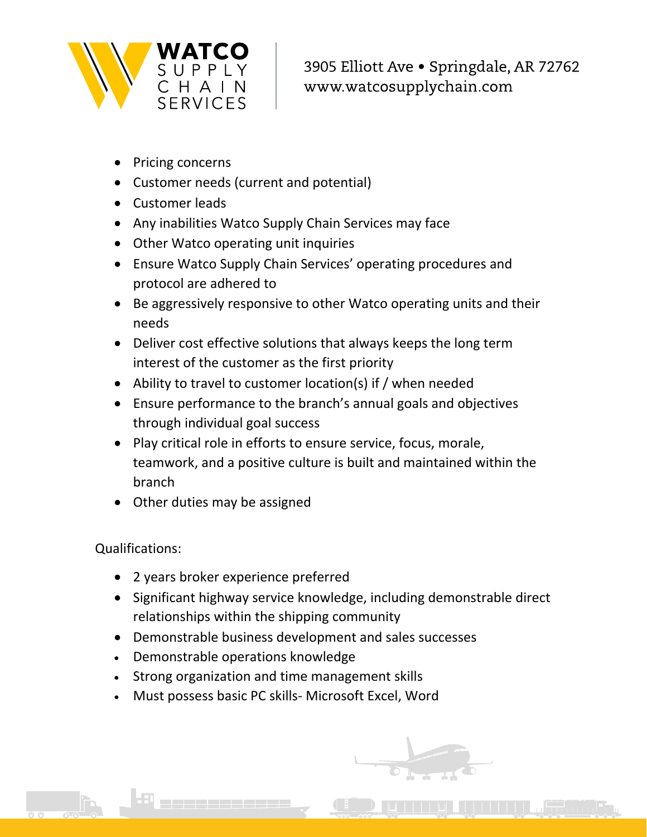

3905 Elliott Ave · Springdale, AR 72762 www.watcosupplychain.com

- Pricing concerns
- Customer needs (current and potential)
- Customer leads
- Any inabilities Watco Supply Chain Services may face
- Other Watco operating unit inquiries
- Ensure Watco Supply Chain Services' operating procedures and protocol are adhered to
- Be aggressively responsive to other Watco operating units and their needs
- Deliver cost effective solutions that always keeps the long term interest of the customer as the first priority
- Ability to travel to customer location(s) if / when needed
- Ensure performance to the branch's annual goals and objectives through individual goal success
- Play critical role in efforts to ensure service, focus, morale, teamwork, and a positive culture is built and maintained within the branch
- Other duties may be assigned

## Qualifications:

- 2 years broker experience preferred
- Significant highway service knowledge, including demonstrable direct relationships within the shipping community
- Demonstrable business development and sales successes
- Demonstrable operations knowledge
- Strong organization and time management skills
- Must possess basic PC skills‐ Microsoft Excel, Word